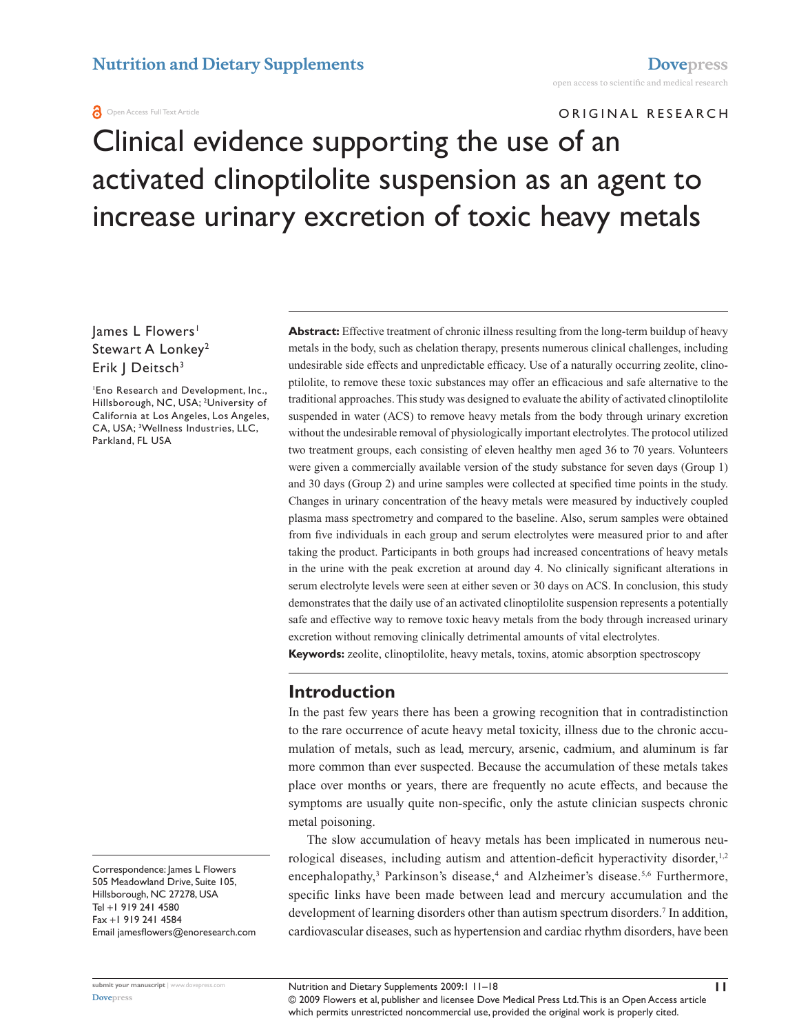#### **A** Open Access Full Text Article

ORIGINAL RESEARCH

# Clinical evidence supporting the use of an activated clinoptilolite suspension as an agent to increase urinary excretion of toxic heavy metals

lames L Flowers<sup>1</sup> Stewart A Lonkey<sup>2</sup> Erik | Deitsch<sup>3</sup>

1 Eno Research and Development, Inc., Hillsborough, NC, USA; <sup>2</sup>University of California at Los Angeles, Los Angeles, CA, USA; 3 Wellness Industries, LLC, Parkland, FL USA

Correspondence: James L Flowers 505 Meadowland Drive, Suite 105, Hillsborough, NC 27278, USA Tel +1 919 241 4580 Fax +1 919 241 4584 Email jamesflowers@enoresearch.com **Abstract:** Effective treatment of chronic illness resulting from the long-term buildup of heavy metals in the body, such as chelation therapy, presents numerous clinical challenges, including undesirable side effects and unpredictable efficacy. Use of a naturally occurring zeolite, clinoptilolite, to remove these toxic substances may offer an efficacious and safe alternative to the traditional approaches. This study was designed to evaluate the ability of activated clinoptilolite suspended in water (ACS) to remove heavy metals from the body through urinary excretion without the undesirable removal of physiologically important electrolytes. The protocol utilized two treatment groups, each consisting of eleven healthy men aged 36 to 70 years. Volunteers were given a commercially available version of the study substance for seven days (Group 1) and 30 days (Group 2) and urine samples were collected at specified time points in the study. Changes in urinary concentration of the heavy metals were measured by inductively coupled plasma mass spectrometry and compared to the baseline. Also, serum samples were obtained from five individuals in each group and serum electrolytes were measured prior to and after taking the product. Participants in both groups had increased concentrations of heavy metals in the urine with the peak excretion at around day 4. No clinically significant alterations in serum electrolyte levels were seen at either seven or 30 days on ACS. In conclusion, this study demonstrates that the daily use of an activated clinoptilolite suspension represents a potentially safe and effective way to remove toxic heavy metals from the body through increased urinary excretion without removing clinically detrimental amounts of vital electrolytes.

**Keywords:** zeolite, clinoptilolite, heavy metals, toxins, atomic absorption spectroscopy

# **Introduction**

In the past few years there has been a growing recognition that in contradistinction to the rare occurrence of acute heavy metal toxicity, illness due to the chronic accumulation of metals, such as lead, mercury, arsenic, cadmium, and aluminum is far more common than ever suspected. Because the accumulation of these metals takes place over months or years, there are frequently no acute effects, and because the symptoms are usually quite non-specific, only the astute clinician suspects chronic metal poisoning.

The slow accumulation of heavy metals has been implicated in numerous neurological diseases, including autism and attention-deficit hyperactivity disorder, $1,2$ encephalopathy,<sup>3</sup> Parkinson's disease,<sup>4</sup> and Alzheimer's disease.<sup>5,6</sup> Furthermore, specific links have been made between lead and mercury accumulation and the development of learning disorders other than autism spectrum disorders.<sup>7</sup> In addition, cardiovascular diseases, such as hypertension and cardiac rhythm disorders, have been

Nutrition and Dietary Supplements 2009:1 11-18 **11** 

© 2009 Flowers et al, publisher and licensee Dove Medical Press Ltd. This is an Open Access article which permits unrestricted noncommercial use, provided the original work is properly cited.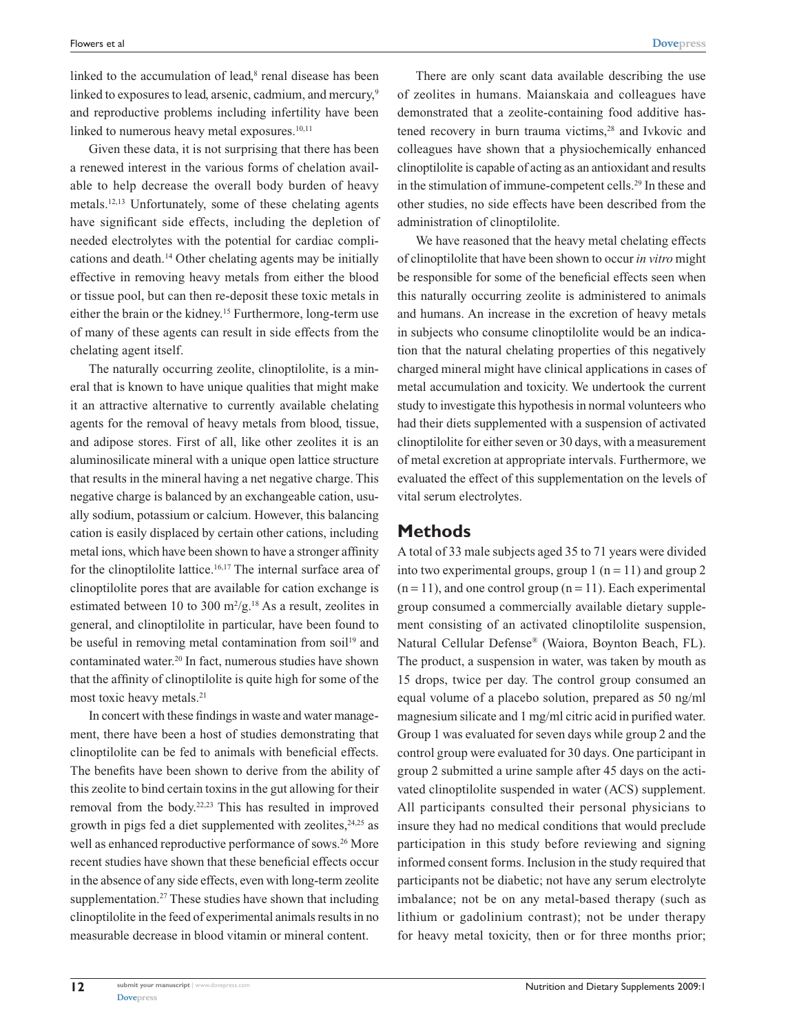linked to the accumulation of lead,<sup>8</sup> renal disease has been linked to exposures to lead, arsenic, cadmium, and mercury,<sup>9</sup> and reproductive problems including infertility have been linked to numerous heavy metal exposures. $10,11$ 

Given these data, it is not surprising that there has been a renewed interest in the various forms of chelation available to help decrease the overall body burden of heavy metals.12,13 Unfortunately, some of these chelating agents have significant side effects, including the depletion of needed electrolytes with the potential for cardiac complications and death.14 Other chelating agents may be initially effective in removing heavy metals from either the blood or tissue pool, but can then re-deposit these toxic metals in either the brain or the kidney.15 Furthermore, long-term use of many of these agents can result in side effects from the chelating agent itself.

The naturally occurring zeolite, clinoptilolite, is a mineral that is known to have unique qualities that might make it an attractive alternative to currently available chelating agents for the removal of heavy metals from blood, tissue, and adipose stores. First of all, like other zeolites it is an aluminosilicate mineral with a unique open lattice structure that results in the mineral having a net negative charge. This negative charge is balanced by an exchangeable cation, usually sodium, potassium or calcium. However, this balancing cation is easily displaced by certain other cations, including metal ions, which have been shown to have a stronger affinity for the clinoptilolite lattice.16,17 The internal surface area of clinoptilolite pores that are available for cation exchange is estimated between 10 to 300  $m^2/g$ .<sup>18</sup> As a result, zeolites in general, and clinoptilolite in particular, have been found to be useful in removing metal contamination from soil<sup>19</sup> and contaminated water.20 In fact, numerous studies have shown that the affinity of clinoptilolite is quite high for some of the most toxic heavy metals.21

In concert with these findings in waste and water management, there have been a host of studies demonstrating that clinoptilolite can be fed to animals with beneficial effects. The benefits have been shown to derive from the ability of this zeolite to bind certain toxins in the gut allowing for their removal from the body.22,23 This has resulted in improved growth in pigs fed a diet supplemented with zeolites, $24.25$  as well as enhanced reproductive performance of sows.<sup>26</sup> More recent studies have shown that these beneficial effects occur in the absence of any side effects, even with long-term zeolite supplementation.<sup>27</sup> These studies have shown that including clinoptilolite in the feed of experimental animals results in no measurable decrease in blood vitamin or mineral content.

There are only scant data available describing the use of zeolites in humans. Maianskaia and colleagues have demonstrated that a zeolite-containing food additive hastened recovery in burn trauma victims,<sup>28</sup> and Ivkovic and colleagues have shown that a physiochemically enhanced clinoptilolite is capable of acting as an antioxidant and results in the stimulation of immune-competent cells.29 In these and other studies, no side effects have been described from the administration of clinoptilolite.

We have reasoned that the heavy metal chelating effects of clinoptilolite that have been shown to occur *in vitro* might be responsible for some of the beneficial effects seen when this naturally occurring zeolite is administered to animals and humans. An increase in the excretion of heavy metals in subjects who consume clinoptilolite would be an indication that the natural chelating properties of this negatively charged mineral might have clinical applications in cases of metal accumulation and toxicity. We undertook the current study to investigate this hypothesis in normal volunteers who had their diets supplemented with a suspension of activated clinoptilolite for either seven or 30 days, with a measurement of metal excretion at appropriate intervals. Furthermore, we evaluated the effect of this supplementation on the levels of vital serum electrolytes.

## **Methods**

A total of 33 male subjects aged 35 to 71 years were divided into two experimental groups, group 1 ( $n = 11$ ) and group 2  $(n = 11)$ , and one control group  $(n = 11)$ . Each experimental group consumed a commercially available dietary supplement consisting of an activated clinoptilolite suspension, Natural Cellular Defense® (Waiora, Boynton Beach, FL). The product, a suspension in water, was taken by mouth as 15 drops, twice per day. The control group consumed an equal volume of a placebo solution, prepared as 50 ng/ml magnesium silicate and 1 mg/ml citric acid in purified water. Group 1 was evaluated for seven days while group 2 and the control group were evaluated for 30 days. One participant in group 2 submitted a urine sample after 45 days on the activated clinoptilolite suspended in water (ACS) supplement. All participants consulted their personal physicians to insure they had no medical conditions that would preclude participation in this study before reviewing and signing informed consent forms. Inclusion in the study required that participants not be diabetic; not have any serum electrolyte imbalance; not be on any metal-based therapy (such as lithium or gadolinium contrast); not be under therapy for heavy metal toxicity, then or for three months prior;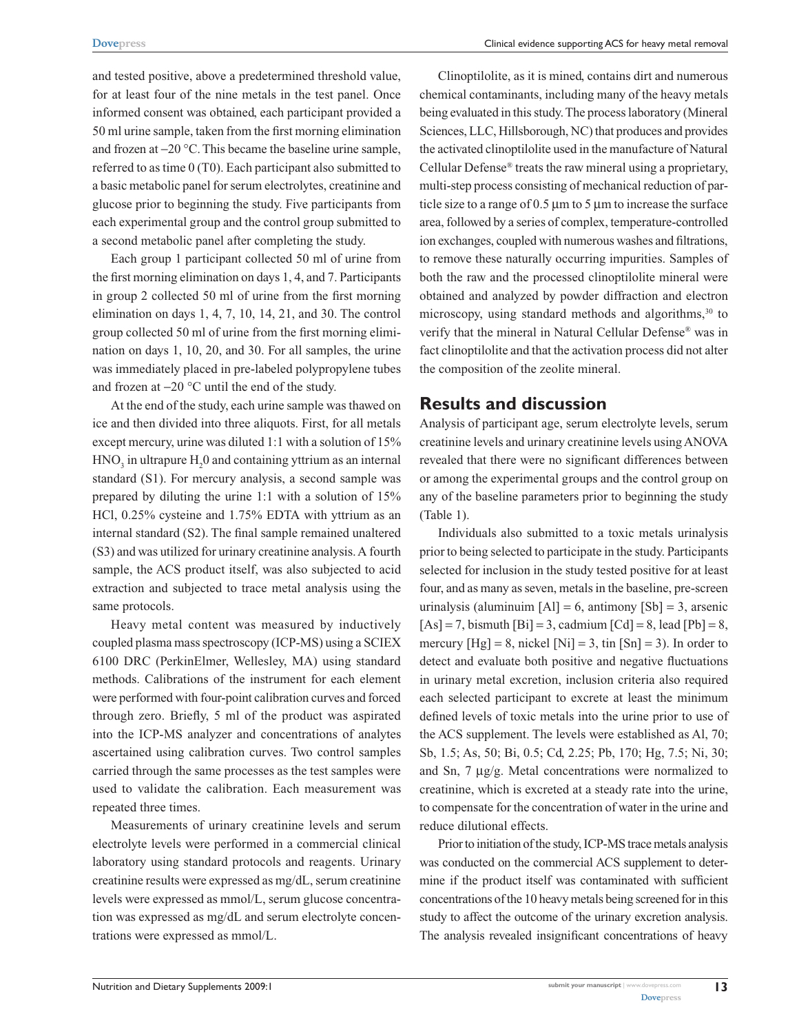and tested positive, above a predetermined threshold value, for at least four of the nine metals in the test panel. Once informed consent was obtained, each participant provided a 50 ml urine sample, taken from the first morning elimination and frozen at  $-20$  °C. This became the baseline urine sample, referred to as time 0 (T0). Each participant also submitted to a basic metabolic panel for serum electrolytes, creatinine and glucose prior to beginning the study. Five participants from each experimental group and the control group submitted to a second metabolic panel after completing the study.

Each group 1 participant collected 50 ml of urine from the first morning elimination on days 1, 4, and 7. Participants in group 2 collected 50 ml of urine from the first morning elimination on days 1, 4, 7, 10, 14, 21, and 30. The control group collected 50 ml of urine from the first morning elimination on days 1, 10, 20, and 30. For all samples, the urine was immediately placed in pre-labeled polypropylene tubes and frozen at  $-20$  °C until the end of the study.

At the end of the study, each urine sample was thawed on ice and then divided into three aliquots. First, for all metals except mercury, urine was diluted 1:1 with a solution of 15%  $HNO<sub>3</sub>$  in ultrapure  $H<sub>2</sub>0$  and containing yttrium as an internal standard (S1). For mercury analysis, a second sample was prepared by diluting the urine 1:1 with a solution of 15% HCl, 0.25% cysteine and 1.75% EDTA with yttrium as an internal standard (S2). The final sample remained unaltered (S3) and was utilized for urinary creatinine analysis. A fourth sample, the ACS product itself, was also subjected to acid extraction and subjected to trace metal analysis using the same protocols.

Heavy metal content was measured by inductively coupled plasma mass spectroscopy (ICP-MS) using a SCIEX 6100 DRC (PerkinElmer, Wellesley, MA) using standard methods. Calibrations of the instrument for each element were performed with four-point calibration curves and forced through zero. Briefly, 5 ml of the product was aspirated into the ICP-MS analyzer and concentrations of analytes ascertained using calibration curves. Two control samples carried through the same processes as the test samples were used to validate the calibration. Each measurement was repeated three times.

Measurements of urinary creatinine levels and serum electrolyte levels were performed in a commercial clinical laboratory using standard protocols and reagents. Urinary creatinine results were expressed as mg/dL, serum creatinine levels were expressed as mmol/L, serum glucose concentration was expressed as mg/dL and serum electrolyte concentrations were expressed as mmol/L.

Clinoptilolite, as it is mined, contains dirt and numerous chemical contaminants, including many of the heavy metals being evaluated in this study. The process laboratory (Mineral Sciences, LLC, Hillsborough, NC) that produces and provides the activated clinoptilolite used in the manufacture of Natural Cellular Defense® treats the raw mineral using a proprietary, multi-step process consisting of mechanical reduction of particle size to a range of  $0.5 \mu m$  to 5  $\mu m$  to increase the surface area, followed by a series of complex, temperature-controlled ion exchanges, coupled with numerous washes and filtrations, to remove these naturally occurring impurities. Samples of both the raw and the processed clinoptilolite mineral were obtained and analyzed by powder diffraction and electron microscopy, using standard methods and algorithms,<sup>30</sup> to verify that the mineral in Natural Cellular Defense® was in fact clinoptilolite and that the activation process did not alter the composition of the zeolite mineral.

# **Results and discussion**

Analysis of participant age, serum electrolyte levels, serum creatinine levels and urinary creatinine levels using ANOVA revealed that there were no significant differences between or among the experimental groups and the control group on any of the baseline parameters prior to beginning the study (Table 1).

Individuals also submitted to a toxic metals urinalysis prior to being selected to participate in the study. Participants selected for inclusion in the study tested positive for at least four, and as many as seven, metals in the baseline, pre-screen urinalysis (aluminuim  $[A1] = 6$ , antimony  $[Sb] = 3$ , arsenic  $[As] = 7$ , bismuth  $[Bi] = 3$ , cadmium  $[Cd] = 8$ , lead  $[Pb] = 8$ , mercury  $[Hg] = 8$ , nickel  $[Ni] = 3$ , tin  $[Sn] = 3$ ). In order to detect and evaluate both positive and negative fluctuations in urinary metal excretion, inclusion criteria also required each selected participant to excrete at least the minimum defined levels of toxic metals into the urine prior to use of the ACS supplement. The levels were established as Al, 70; Sb, 1.5; As, 50; Bi, 0.5; Cd, 2.25; Pb, 170; Hg, 7.5; Ni, 30; and Sn,  $7 \mu g/g$ . Metal concentrations were normalized to creatinine, which is excreted at a steady rate into the urine, to compensate for the concentration of water in the urine and reduce dilutional effects.

Prior to initiation of the study, ICP-MS trace metals analysis was conducted on the commercial ACS supplement to determine if the product itself was contaminated with sufficient concentrations of the 10 heavy metals being screened for in this study to affect the outcome of the urinary excretion analysis. The analysis revealed insignificant concentrations of heavy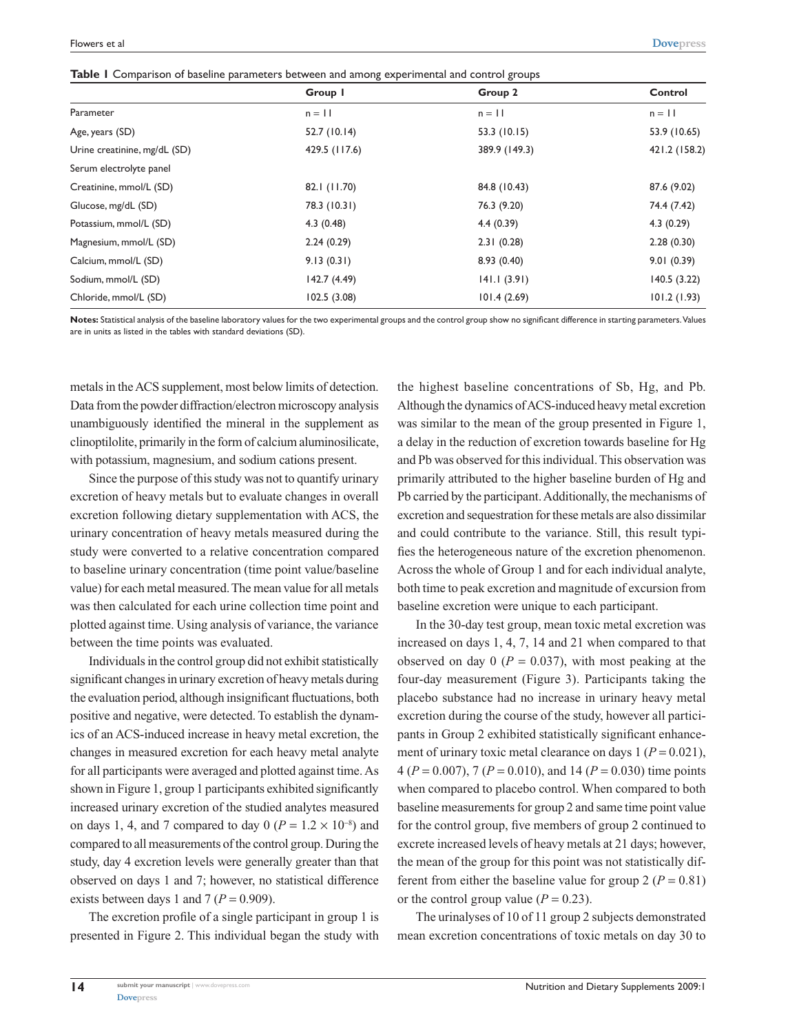**Table 1** Comparison of baseline parameters between and among experimental and control groups

|                              | Group I       | Group 2       | Control       |
|------------------------------|---------------|---------------|---------------|
| Parameter                    | $n = 11$      | $n = 11$      | $n = 11$      |
| Age, years (SD)              | 52.7 (10.14)  | 53.3 (10.15)  | 53.9 (10.65)  |
| Urine creatinine, mg/dL (SD) | 429.5 (117.6) | 389.9 (149.3) | 421.2 (158.2) |
| Serum electrolyte panel      |               |               |               |
| Creatinine, mmol/L (SD)      | 82.1 (11.70)  | 84.8 (10.43)  | 87.6 (9.02)   |
| Glucose, mg/dL (SD)          | 78.3 (10.31)  | 76.3 (9.20)   | 74.4 (7.42)   |
| Potassium, mmol/L (SD)       | 4.3(0.48)     | 4.4(0.39)     | 4.3(0.29)     |
| Magnesium, mmol/L (SD)       | 2.24(0.29)    | 2.31(0.28)    | 2.28(0.30)    |
| Calcium, mmol/L (SD)         | 9.13(0.31)    | 8.93(0.40)    | 9.01(0.39)    |
| Sodium, mmol/L (SD)          | 142.7(4.49)   | 141.1(3.91)   | 140.5(3.22)   |
| Chloride, mmol/L (SD)        | 102.5(3.08)   | 101.4(2.69)   | 101.2(1.93)   |

**Notes:** Statistical analysis of the baseline laboratory values for the two experimental groups and the control group show no significant difference in starting parameters. Values are in units as listed in the tables with standard deviations (SD).

metals in the ACS supplement, most below limits of detection. Data from the powder diffraction/electron microscopy analysis unambiguously identified the mineral in the supplement as clinoptilolite, primarily in the form of calcium aluminosilicate, with potassium, magnesium, and sodium cations present.

Since the purpose of this study was not to quantify urinary excretion of heavy metals but to evaluate changes in overall excretion following dietary supplementation with ACS, the urinary concentration of heavy metals measured during the study were converted to a relative concentration compared to baseline urinary concentration (time point value/baseline value) for each metal measured. The mean value for all metals was then calculated for each urine collection time point and plotted against time. Using analysis of variance, the variance between the time points was evaluated.

Individuals in the control group did not exhibit statistically significant changes in urinary excretion of heavy metals during the evaluation period, although insignificant fluctuations, both positive and negative, were detected. To establish the dynamics of an ACS-induced increase in heavy metal excretion, the changes in measured excretion for each heavy metal analyte for all participants were averaged and plotted against time. As shown in Figure 1, group 1 participants exhibited significantly increased urinary excretion of the studied analytes measured on days 1, 4, and 7 compared to day 0 ( $P = 1.2 \times 10^{-8}$ ) and compared to all measurements of the control group. During the study, day 4 excretion levels were generally greater than that observed on days 1 and 7; however, no statistical difference exists between days 1 and 7 ( $P = 0.909$ ).

The excretion profile of a single participant in group 1 is presented in Figure 2. This individual began the study with the highest baseline concentrations of Sb, Hg, and Pb. Although the dynamics of ACS-induced heavy metal excretion was similar to the mean of the group presented in Figure 1, a delay in the reduction of excretion towards baseline for Hg and Pb was observed for this individual. This observation was primarily attributed to the higher baseline burden of Hg and Pb carried by the participant. Additionally, the mechanisms of excretion and sequestration for these metals are also dissimilar and could contribute to the variance. Still, this result typifies the heterogeneous nature of the excretion phenomenon. Across the whole of Group 1 and for each individual analyte, both time to peak excretion and magnitude of excursion from baseline excretion were unique to each participant.

In the 30-day test group, mean toxic metal excretion was increased on days 1, 4, 7, 14 and 21 when compared to that observed on day  $0$  ( $P = 0.037$ ), with most peaking at the four-day measurement (Figure 3). Participants taking the placebo substance had no increase in urinary heavy metal excretion during the course of the study, however all participants in Group 2 exhibited statistically significant enhancement of urinary toxic metal clearance on days  $1 (P = 0.021)$ , 4 ( $P = 0.007$ ), 7 ( $P = 0.010$ ), and 14 ( $P = 0.030$ ) time points when compared to placebo control. When compared to both baseline measurements for group 2 and same time point value for the control group, five members of group 2 continued to excrete increased levels of heavy metals at 21 days; however, the mean of the group for this point was not statistically different from either the baseline value for group  $2 (P = 0.81)$ or the control group value  $(P = 0.23)$ .

The urinalyses of 10 of 11 group 2 subjects demonstrated mean excretion concentrations of toxic metals on day 30 to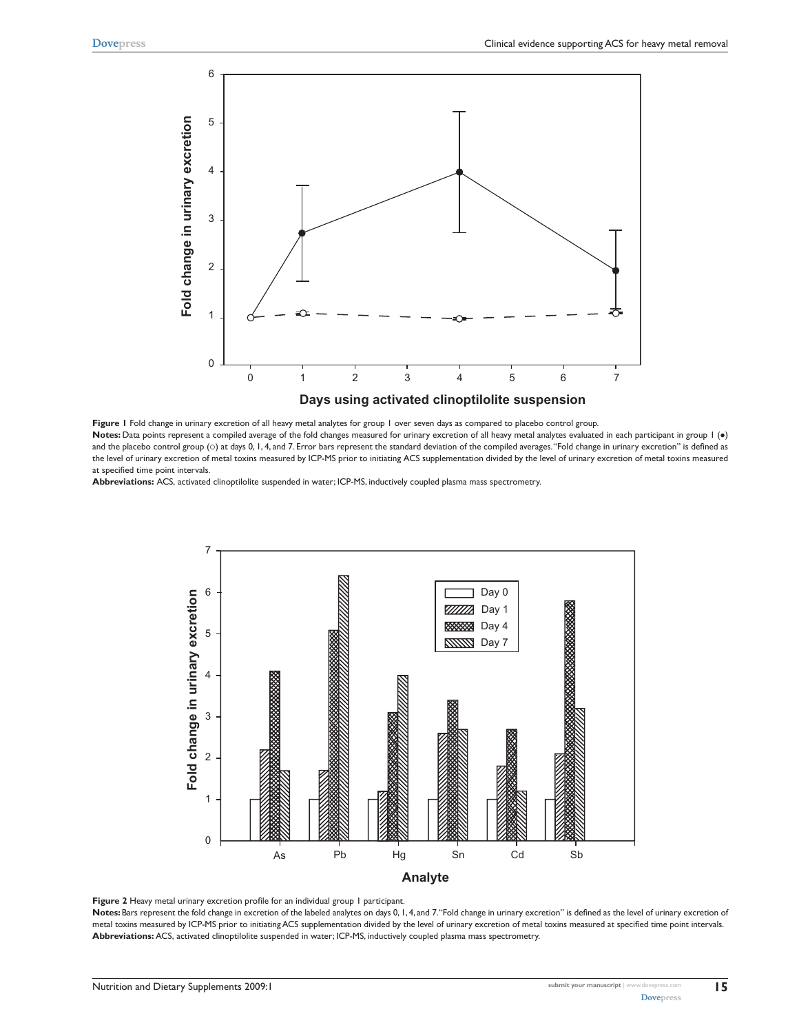

**Figure 1** Fold change in urinary excretion of all heavy metal analytes for group 1 over seven days as compared to placebo control group. Notes: Data points represent a compiled average of the fold changes measured for urinary excretion of all heavy metal analytes evaluated in each participant in group 1 (.) and the placebo control group ( $\circ$ ) at days 0, 1, 4, and 7. Error bars represent the standard deviation of the compiled averages. "Fold change in urinary excretion" is defined as the level of urinary excretion of metal toxins measured by ICP-MS prior to initiating ACS supplementation divided by the level of urinary excretion of metal toxins measured at specified time point intervals.

**Abbreviations:** ACS, activated clinoptilolite suspended in water; ICP-MS, inductively coupled plasma mass spectrometry.



Figure 2 Heavy metal urinary excretion profile for an individual group 1 participant.

Notes: Bars represent the fold change in excretion of the labeled analytes on days 0, 1, 4, and 7. "Fold change in urinary excretion" is defined as the level of urinary excretion of metal toxins measured by ICP-MS prior to initiating ACS supplementation divided by the level of urinary excretion of metal toxins measured at specified time point intervals. **Abbreviations:** ACS, activated clinoptilolite suspended in water; ICP-MS, inductively coupled plasma mass spectrometry.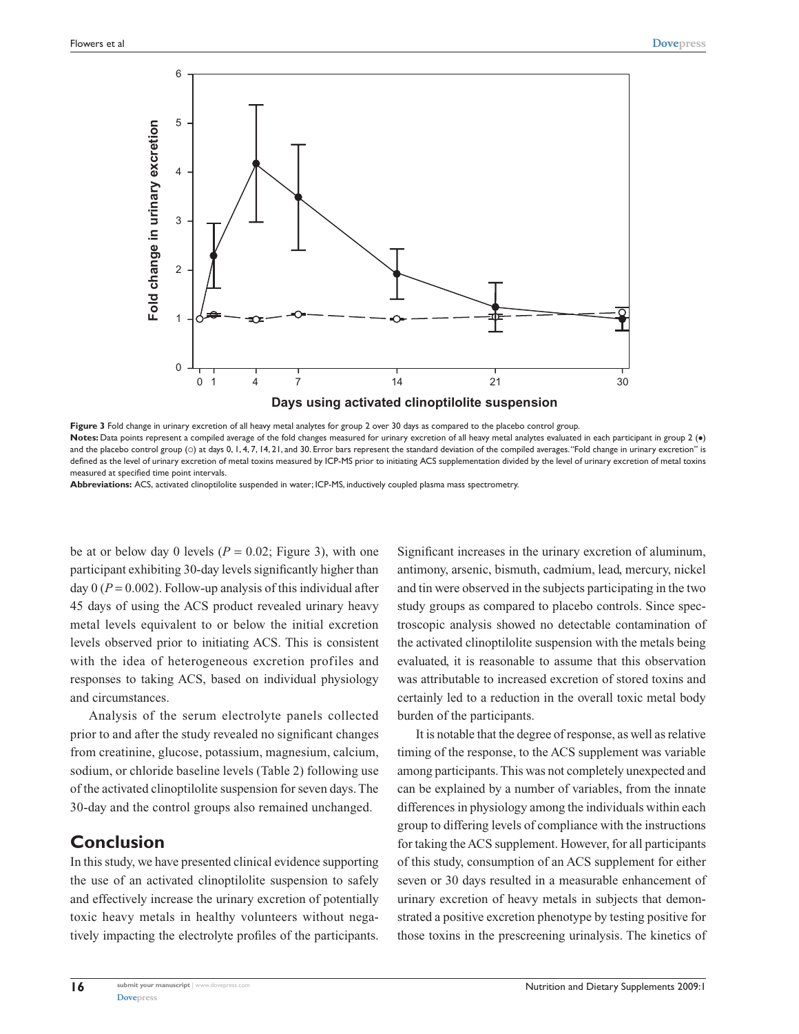

**Figure 3** Fold change in urinary excretion of all heavy metal analytes for group 2 over 30 days as compared to the placebo control group. Notes: Data points represent a compiled average of the fold changes measured for urinary excretion of all heavy metal analytes evaluated in each participant in group 2 (.) and the placebo control group (o) at days 0, 1, 4, 7, 14, 21, and 30. Error bars represent the standard deviation of the compiled averages. "Fold change in urinary excretion" is defined as the level of urinary excretion of metal toxins measured by ICP-MS prior to initiating ACS supplementation divided by the level of urinary excretion of metal toxins measured at specified time point intervals.

**Abbreviations:** ACS, activated clinoptilolite suspended in water; ICP-MS, inductively coupled plasma mass spectrometry.

be at or below day 0 levels ( $P = 0.02$ ; Figure 3), with one participant exhibiting 30-day levels significantly higher than day  $0 (P = 0.002)$ . Follow-up analysis of this individual after 45 days of using the ACS product revealed urinary heavy metal levels equivalent to or below the initial excretion levels observed prior to initiating ACS. This is consistent with the idea of heterogeneous excretion profiles and responses to taking ACS, based on individual physiology and circumstances.

Analysis of the serum electrolyte panels collected prior to and after the study revealed no significant changes from creatinine, glucose, potassium, magnesium, calcium, sodium, or chloride baseline levels (Table 2) following use of the activated clinoptilolite suspension for seven days. The 30-day and the control groups also remained unchanged.

# **Conclusion**

In this study, we have presented clinical evidence supporting the use of an activated clinoptilolite suspension to safely and effectively increase the urinary excretion of potentially toxic heavy metals in healthy volunteers without negatively impacting the electrolyte profiles of the participants.

Significant increases in the urinary excretion of aluminum, antimony, arsenic, bismuth, cadmium, lead, mercury, nickel and tin were observed in the subjects participating in the two study groups as compared to placebo controls. Since spectroscopic analysis showed no detectable contamination of the activated clinoptilolite suspension with the metals being evaluated, it is reasonable to assume that this observation was attributable to increased excretion of stored toxins and certainly led to a reduction in the overall toxic metal body burden of the participants.

It is notable that the degree of response, as well as relative timing of the response, to the ACS supplement was variable among participants. This was not completely unexpected and can be explained by a number of variables, from the innate differences in physiology among the individuals within each group to differing levels of compliance with the instructions for taking the ACS supplement. However, for all participants of this study, consumption of an ACS supplement for either seven or 30 days resulted in a measurable enhancement of urinary excretion of heavy metals in subjects that demonstrated a positive excretion phenotype by testing positive for those toxins in the prescreening urinalysis. The kinetics of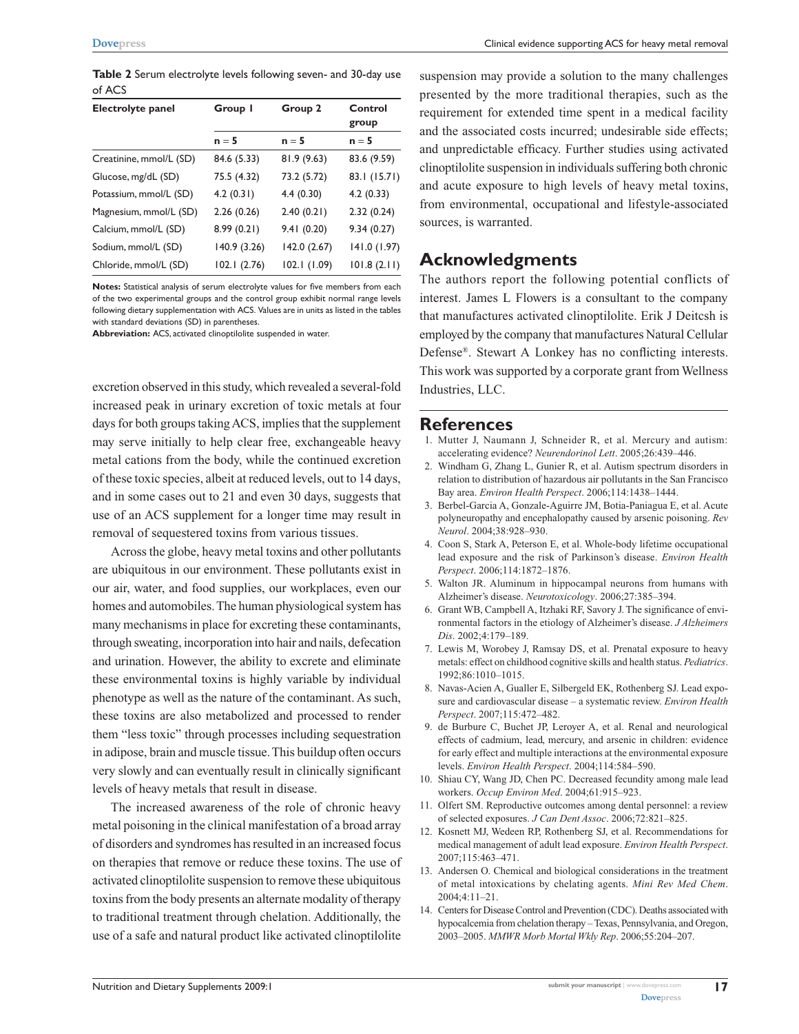**Dovepress** Clinical evidence supporting ACS for heavy metal removal

**Table 2** Serum electrolyte levels following seven- and 30-day use of ACS

| Electrolyte panel       | Group I      | Group 2      | Control<br>group |
|-------------------------|--------------|--------------|------------------|
|                         | $n = 5$      | $n = 5$      | $n = 5$          |
| Creatinine, mmol/L (SD) | 84.6 (5.33)  | 81.9(9.63)   | 83.6 (9.59)      |
| Glucose, mg/dL (SD)     | 75.5 (4.32)  | 73.2 (5.72)  | 83.1 (15.71)     |
| Potassium, mmol/L (SD)  | 4.2(0.31)    | 4.4(0.30)    | 4.2(0.33)        |
| Magnesium, mmol/L (SD)  | 2.26(0.26)   | 2.40(0.21)   | 2.32(0.24)       |
| Calcium, mmol/L (SD)    | 8.99(0.21)   | 9.41(0.20)   | 9.34(0.27)       |
| Sodium, mmol/L (SD)     | 140.9 (3.26) | 142.0 (2.67) | 141.0(1.97)      |
| Chloride, mmol/L (SD)   | 102.1(2.76)  | 102.1(1.09)  | 101.8(2.11)      |

**Notes:** Statistical analysis of serum electrolyte values for five members from each of the two experimental groups and the control group exhibit normal range levels following dietary supplementation with ACS. Values are in units as listed in the tables with standard deviations (SD) in parentheses.

**Abbreviation:** ACS, activated clinoptilolite suspended in water.

excretion observed in this study, which revealed a several-fold increased peak in urinary excretion of toxic metals at four days for both groups taking ACS, implies that the supplement may serve initially to help clear free, exchangeable heavy metal cations from the body, while the continued excretion of these toxic species, albeit at reduced levels, out to 14 days, and in some cases out to 21 and even 30 days, suggests that use of an ACS supplement for a longer time may result in removal of sequestered toxins from various tissues.

Across the globe, heavy metal toxins and other pollutants are ubiquitous in our environment. These pollutants exist in our air, water, and food supplies, our workplaces, even our homes and automobiles. The human physiological system has many mechanisms in place for excreting these contaminants, through sweating, incorporation into hair and nails, defecation and urination. However, the ability to excrete and eliminate these environmental toxins is highly variable by individual phenotype as well as the nature of the contaminant. As such, these toxins are also metabolized and processed to render them "less toxic" through processes including sequestration in adipose, brain and muscle tissue. This buildup often occurs very slowly and can eventually result in clinically significant levels of heavy metals that result in disease.

The increased awareness of the role of chronic heavy metal poisoning in the clinical manifestation of a broad array of disorders and syndromes has resulted in an increased focus on therapies that remove or reduce these toxins. The use of activated clinoptilolite suspension to remove these ubiquitous toxins from the body presents an alternate modality of therapy to traditional treatment through chelation. Additionally, the use of a safe and natural product like activated clinoptilolite

suspension may provide a solution to the many challenges presented by the more traditional therapies, such as the requirement for extended time spent in a medical facility and the associated costs incurred; undesirable side effects; and unpredictable efficacy. Further studies using activated clinoptilolite suspension in individuals suffering both chronic and acute exposure to high levels of heavy metal toxins, from environmental, occupational and lifestyle-associated sources, is warranted.

## **Acknowledgments**

The authors report the following potential conflicts of interest. James L Flowers is a consultant to the company that manufactures activated clinoptilolite. Erik J Deitcsh is employed by the company that manufactures Natural Cellular Defense®. Stewart A Lonkey has no conflicting interests. This work was supported by a corporate grant from Wellness Industries, LLC.

#### **References**

- 1. Mutter J, Naumann J, Schneider R, et al. Mercury and autism: accelerating evidence? *Neurendorinol Lett*. 2005;26:439–446.
- 2. Windham G, Zhang L, Gunier R, et al. Autism spectrum disorders in relation to distribution of hazardous air pollutants in the San Francisco Bay area. *Environ Health Perspect*. 2006;114:1438–1444.
- 3. Berbel-Garcia A, Gonzale-Aguirre JM, Botia-Paniagua E, et al. Acute polyneuropathy and encephalopathy caused by arsenic poisoning. *Rev Neurol*. 2004;38:928–930.
- 4. Coon S, Stark A, Peterson E, et al. Whole-body lifetime occupational lead exposure and the risk of Parkinson's disease. *Environ Health Perspect*. 2006;114:1872–1876.
- 5. Walton JR. Aluminum in hippocampal neurons from humans with Alzheimer's disease. *Neurotoxicology*. 2006;27:385–394.
- 6. Grant WB, Campbell A, Itzhaki RF, Savory J. The significance of environmental factors in the etiology of Alzheimer's disease. *J Alzheimers Dis*. 2002;4:179–189.
- 7. Lewis M, Worobey J, Ramsay DS, et al. Prenatal exposure to heavy metals: effect on childhood cognitive skills and health status. *Pediatrics*. 1992;86:1010–1015.
- 8. Navas-Acien A, Gualler E, Silbergeld EK, Rothenberg SJ. Lead exposure and cardiovascular disease – a systematic review. *Environ Health Perspect*. 2007;115:472–482.
- 9. de Burbure C, Buchet JP, Leroyer A, et al. Renal and neurological effects of cadmium, lead, mercury, and arsenic in children: evidence for early effect and multiple interactions at the environmental exposure levels. *Environ Health Perspect*. 2004;114:584–590.
- 10. Shiau CY, Wang JD, Chen PC. Decreased fecundity among male lead workers. *Occup Environ Med*. 2004;61:915–923.
- 11. Olfert SM. Reproductive outcomes among dental personnel: a review of selected exposures. *J Can Dent Assoc*. 2006;72:821–825.
- 12. Kosnett MJ, Wedeen RP, Rothenberg SJ, et al. Recommendations for medical management of adult lead exposure. *Environ Health Perspect*. 2007;115:463–471.
- 13. Andersen O. Chemical and biological considerations in the treatment of metal intoxications by chelating agents. *Mini Rev Med Chem*. 2004;4:11–21.
- 14. Centers for Disease Control and Prevention (CDC). Deaths associated with hypocalcemia from chelation therapy – Texas, Pennsylvania, and Oregon, 2003–2005. *MMWR Morb Mortal Wkly Rep*. 2006;55:204–207.